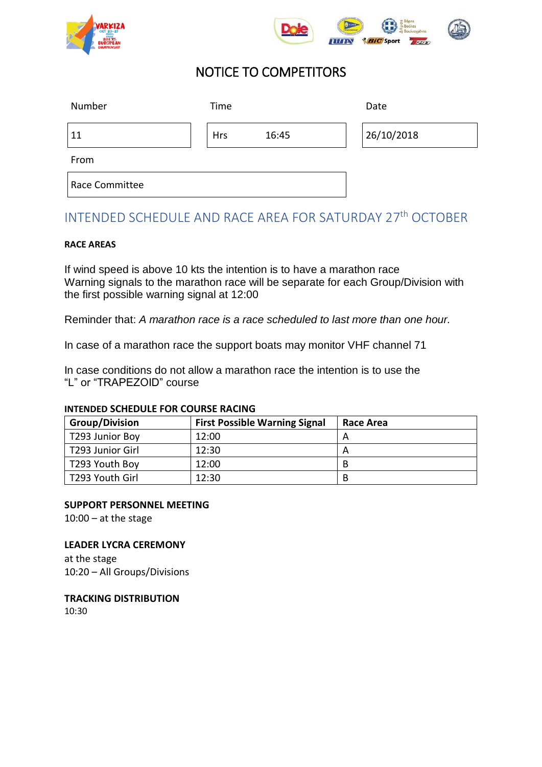



# NOTICE TO COMPETITORS

| Number         | Time       |       | Date       |
|----------------|------------|-------|------------|
| 11             | <b>Hrs</b> | 16:45 | 26/10/2018 |
| From           |            |       |            |
| Race Committee |            |       |            |

# INTENDED SCHEDULE AND RACE AREA FOR SATURDAY 27<sup>th</sup> OCTOBER

#### **RACE AREAS**

If wind speed is above 10 kts the intention is to have a marathon race Warning signals to the marathon race will be separate for each Group/Division with the first possible warning signal at 12:00

Reminder that: *A marathon race is a race scheduled to last more than one hour.*

In case of a marathon race the support boats may monitor VHF channel 71

In case conditions do not allow a marathon race the intention is to use the "L" or "TRAPEZOID" course

#### **INTENDED SCHEDULE FOR COURSE RACING**

| <b>Group/Division</b> | <b>First Possible Warning Signal</b> | Race Area |
|-----------------------|--------------------------------------|-----------|
| T293 Junior Boy       | 12:00                                |           |
| T293 Junior Girl      | 12:30                                |           |
| T293 Youth Boy        | 12:00                                | B         |
| T293 Youth Girl       | 12:30                                | B         |

#### **SUPPORT PERSONNEL MEETING**

 $10:00 - at$  the stage

### **LEADER LYCRA CEREMONY**

at the stage 10:20 – All Groups/Divisions

**TRACKING DISTRIBUTION**  10:30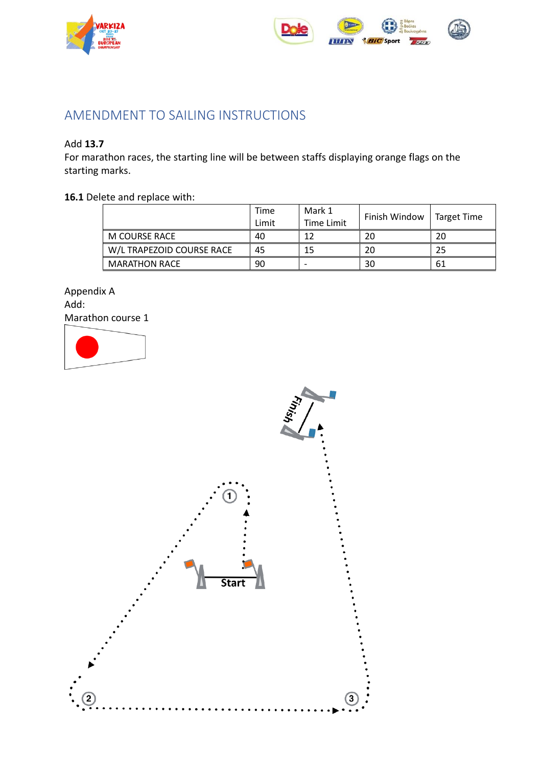



## AMENDMENT TO SAILING INSTRUCTIONS

### Add **13.7**

For marathon races, the starting line will be between staffs displaying orange flags on the starting marks.

### **16.1** Delete and replace with:

|                           | Time<br>Limit | Mark 1<br>Time Limit | Finish Window | Target Time |
|---------------------------|---------------|----------------------|---------------|-------------|
| M COURSE RACE             | 40            |                      | 20            | 20          |
| W/L TRAPEZOID COURSE RACE | 45            | 15                   | 20            | 25          |
| <b>MARATHON RACE</b>      | 90            |                      | 30            | 61          |

Appendix A Add: Marathon course 1